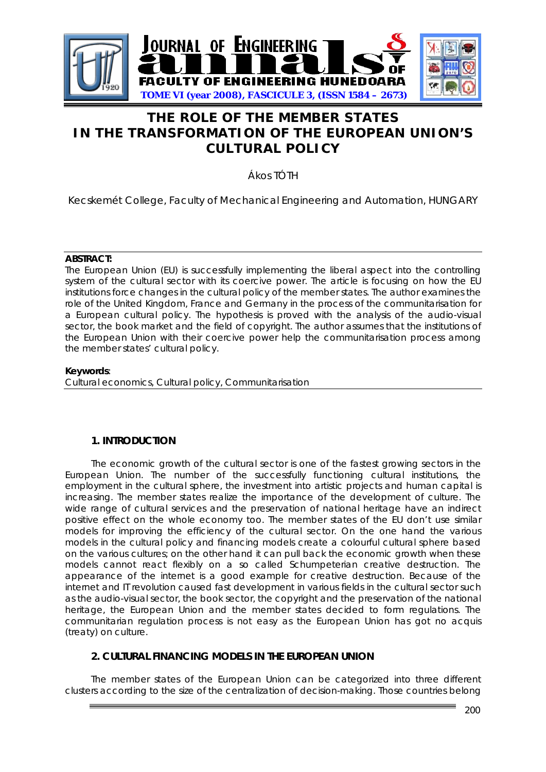

# **THE ROLE OF THE MEMBER STATES IN THE TRANSFORMATION OF THE EUROPEAN UNION'S CULTURAL POLICY**

Ákos TÓTH

Kecskemét College, Faculty of Mechanical Engineering and Automation, HUNGARY

#### **ABSTRACT:**

The European Union (EU) is successfully implementing the liberal aspect into the controlling system of the cultural sector with its coercive power. The article is focusing on how the EU institutions force changes in the cultural policy of the member states. The author examines the role of the United Kingdom, France and Germany in the process of the communitarisation for a European cultural policy. The hypothesis is proved with the analysis of the audio-visual sector, the book market and the field of copyright. The author assumes that the institutions of the European Union with their coercive power help the communitarisation process among the member states' cultural policy.

#### **Keywords**:

Cultural economics, Cultural policy, Communitarisation

## **1. INTRODUCTION**

The economic growth of the cultural sector is one of the fastest growing sectors in the European Union. The number of the successfully functioning cultural institutions, the employment in the cultural sphere, the investment into artistic projects and human capital is increasing. The member states realize the importance of the development of culture. The wide range of cultural services and the preservation of national heritage have an indirect positive effect on the whole economy too. The member states of the EU don't use similar models for improving the efficiency of the cultural sector. On the one hand the various models in the cultural policy and financing models create a colourful cultural sphere based on the various cultures; on the other hand it can pull back the economic growth when these models cannot react flexibly on a so called Schumpeterian creative destruction. The appearance of the internet is a good example for creative destruction. Because of the internet and IT revolution caused fast development in various fields in the cultural sector such as the audio-visual sector, the book sector, the copyright and the preservation of the national heritage, the European Union and the member states decided to form regulations. The communitarian regulation process is not easy as the European Union has got no acquis (treaty) on culture.

# **2. CULTURAL FINANCING MODELS IN THE EUROPEAN UNION**

The member states of the European Union can be categorized into three different clusters according to the size of the centralization of decision-making. Those countries belong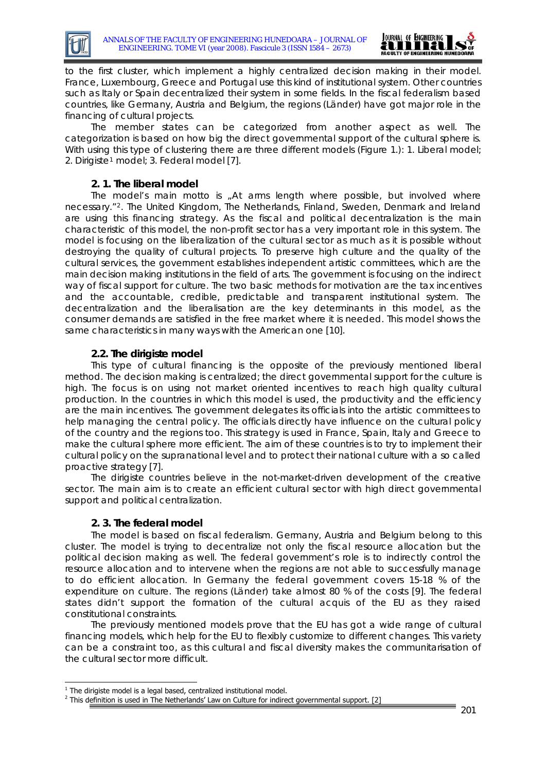



to the first cluster, which implement a highly centralized decision making in their model. France, Luxembourg, Greece and Portugal use this kind of institutional system. Other countries such as Italy or Spain decentralized their system in some fields. In the fiscal federalism based countries, like Germany, Austria and Belgium, the regions (Länder) have got major role in the financing of cultural projects.

The member states can be categorized from another aspect as well. The categorization is based on how big the direct governmental support of the cultural sphere is. With using this type of clustering there are three different models (Figure 1.): 1. Liberal model; 2. Dirigist[e1](#page-1-0) model; 3. Federal model [7].

# **2. 1. The liberal model**

The model's main motto is *"At arms length where possible, but involved where necessary."*[2](#page-1-1). The United Kingdom, The Netherlands, Finland, Sweden, Denmark and Ireland are using this financing strategy. As the fiscal and political decentralization is the main characteristic of this model, the non-profit sector has a very important role in this system. The model is focusing on the liberalization of the cultural sector as much as it is possible without destroying the quality of cultural projects. To preserve high culture and the quality of the cultural services, the government establishes independent artistic committees, which are the main decision making institutions in the field of arts. The government is focusing on the indirect way of fiscal support for culture. The two basic methods for motivation are the tax incentives and the accountable, credible, predictable and transparent institutional system. The decentralization and the liberalisation are the key determinants in this model, as the consumer demands are satisfied in the free market where it is needed. This model shows the same characteristics in many ways with the American one [10].

## **2.2. The dirigiste model**

This type of cultural financing is the opposite of the previously mentioned liberal method. The decision making is centralized; the direct governmental support for the culture is high. The focus is on using not market oriented incentives to reach high quality cultural production. In the countries in which this model is used, the productivity and the efficiency are the main incentives. The government delegates its officials into the artistic committees to help managing the central policy. The officials directly have influence on the cultural policy of the country and the regions too. This strategy is used in France, Spain, Italy and Greece to make the cultural sphere more efficient. The aim of these countries is to try to implement their cultural policy on the supranational level and to protect their national culture with a so called proactive strategy [7].

The dirigiste countries believe in the not-market-driven development of the creative sector. The main aim is to create an efficient cultural sector with high direct governmental support and political centralization.

## **2. 3. The federal model**

The model is based on fiscal federalism. Germany, Austria and Belgium belong to this cluster. The model is trying to decentralize not only the fiscal resource allocation but the political decision making as well. The federal government's role is to indirectly control the resource allocation and to intervene when the regions are not able to successfully manage to do efficient allocation. In Germany the federal government covers 15-18 % of the expenditure on culture. The regions (Länder) take almost 80 % of the costs [9]. The federal states didn't support the formation of the cultural acquis of the EU as they raised constitutional constraints.

The previously mentioned models prove that the EU has got a wide range of cultural financing models, which help for the EU to flexibly customize to different changes. This variety can be a constraint too, as this cultural and fiscal diversity makes the communitarisation of the cultural sector more difficult.

<sup>-</sup> $1$  The dirigiste model is a legal based, centralized institutional model.

<span id="page-1-1"></span><span id="page-1-0"></span> $2$  This definition is used in The Netherlands' Law on Culture for indirect governmental support. [2]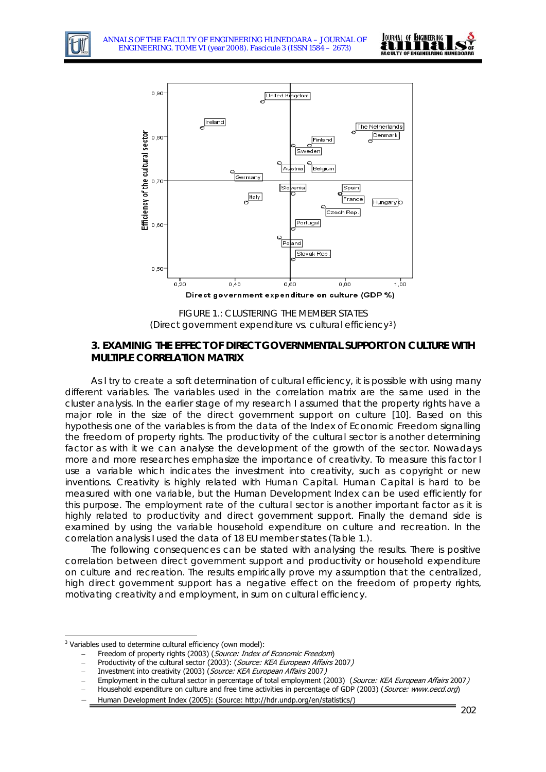

The Netherlands





FIGURE 1.: CLUSTERING THE MEMBER STATES (Direct government expenditure vs. cultural efficiency[3](#page-2-0))

# **3. EXAMINIG THE EFFECT OF DIRECT GOVERNMENTAL SUPPORT ON CULTURE WITH MULTIPLE CORRELATION MATRIX**

As I try to create a soft determination of cultural efficiency, it is possible with using many different variables. The variables used in the correlation matrix are the same used in the cluster analysis. In the earlier stage of my research I assumed that the property rights have a major role in the size of the direct government support on culture [10]. Based on this hypothesis one of the variables is from the data of the Index of Economic Freedom signalling the freedom of property rights. The productivity of the cultural sector is another determining factor as with it we can analyse the development of the growth of the sector. Nowadays more and more researches emphasize the importance of creativity. To measure this factor I use a variable which indicates the investment into creativity, such as copyright or new inventions. Creativity is highly related with Human Capital. Human Capital is hard to be measured with one variable, but the Human Development Index can be used efficiently for this purpose. The employment rate of the cultural sector is another important factor as it is highly related to productivity and direct government support. Finally the demand side is examined by using the variable household expenditure on culture and recreation. In the correlation analysis I used the data of 18 EU member states (Table 1.).

The following consequences can be stated with analysing the results. There is positive correlation between direct government support and productivity or household expenditure on culture and recreation. The results empirically prove my assumption that the centralized, high direct government support has a negative effect on the freedom of property rights, motivating creativity and employment, in sum on cultural efficiency.

-

<span id="page-2-0"></span> $3$  Variables used to determine cultural efficiency (own model):

Freedom of property rights (2003) (Source: Index of Economic Freedom)

Productivity of the cultural sector (2003): (Source: KEA European Affairs 2007)

Investment into creativity (2003) (Source: KEA European Affairs 2007)

<sup>−</sup> Employment in the cultural sector in percentage of total employment (2003) (Source: KEA European Affairs 2007)

Household expenditure on culture and free time activities in percentage of GDP (2003) (Source: www.oecd.org)

<sup>−</sup> Human Development Index (2005): (Source: http://hdr.undp.org/en/statistics/)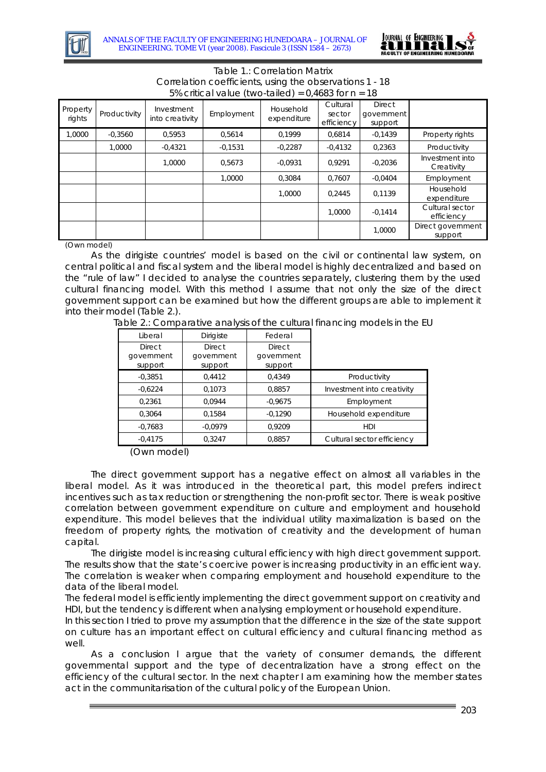



#### Table 1.: Correlation Matrix Correlation coefficients, using the observations 1 - 18 5% critical value (two-tailed) =  $0.4683$  for  $n = 18$

| Property<br>rights | Productivity | Investment<br>into creativity | Employment | Household<br>expenditure | Cultural<br>sector<br>efficiency | <b>Direct</b><br>qovernment<br>support |                               |
|--------------------|--------------|-------------------------------|------------|--------------------------|----------------------------------|----------------------------------------|-------------------------------|
| 0000,1             | $-0.3560$    | 0,5953                        | 0.5614     | 0.1999                   | 0.6814                           | $-0.1439$                              | Property rights               |
|                    | 1.0000       | $-0.4321$                     | $-0,1531$  | $-0,2287$                | $-0.4132$                        | 0.2363                                 | Productivity                  |
|                    |              | 1.0000                        | 0.5673     | $-0.0931$                | 0.9291                           | $-0.2036$                              | Investment into<br>Creativity |
|                    |              |                               | 1.0000     | 0.3084                   | 0.7607                           | $-0.0404$                              | Employment                    |
|                    |              |                               |            | 1.0000                   | 0.2445                           | 0.1139                                 | Household<br>expenditure      |
|                    |              |                               |            |                          | 1.0000                           | $-0.1414$                              | Cultural sector<br>efficiency |
|                    |              |                               |            |                          |                                  | 1,0000                                 | Direct government<br>support  |

(Own model)

As the dirigiste countries' model is based on the civil or continental law system, on central political and fiscal system and the liberal model is highly decentralized and based on the "rule of law" I decided to analyse the countries separately, clustering them by the used cultural financing model. With this method I assume that not only the size of the direct government support can be examined but how the different groups are able to implement it into their model (Table 2.).

Table 2.: Comparative analysis of the cultural financing models in the EU

| <b>Dirigiste</b>                       | Federal                                |                            |
|----------------------------------------|----------------------------------------|----------------------------|
|                                        |                                        |                            |
| <b>Direct</b><br>government<br>support | <b>Direct</b><br>government<br>support |                            |
| 0,4412                                 | 0.4349                                 | Productivity               |
| 0.1073                                 | 0,8857                                 | Investment into creativity |
| 0.0944                                 | $-0.9675$                              | Employment                 |
| 0,1584                                 | $-0,1290$                              | Household expenditure      |
| $-0.0979$                              | 0.9209                                 | HDI                        |
| 0,3247                                 | 0,8857                                 | Cultural sector efficiency |
|                                        |                                        |                            |

(Own model)

The direct government support has a negative effect on almost all variables in the liberal model. As it was introduced in the theoretical part, this model prefers indirect incentives such as tax reduction or strengthening the non-profit sector. There is weak positive correlation between government expenditure on culture and employment and household expenditure. This model believes that the individual utility maximalization is based on the freedom of property rights, the motivation of creativity and the development of human capital.

The dirigiste model is increasing cultural efficiency with high direct government support. The results show that the state's coercive power is increasing productivity in an efficient way. The correlation is weaker when comparing employment and household expenditure to the data of the liberal model.

The federal model is efficiently implementing the direct government support on creativity and HDI, but the tendency is different when analysing employment or household expenditure.

In this section I tried to prove my assumption that the difference in the size of the state support on culture has an important effect on cultural efficiency and cultural financing method as well.

As a conclusion I argue that the variety of consumer demands, the different governmental support and the type of decentralization have a strong effect on the efficiency of the cultural sector. In the next chapter I am examining how the member states act in the communitarisation of the cultural policy of the European Union.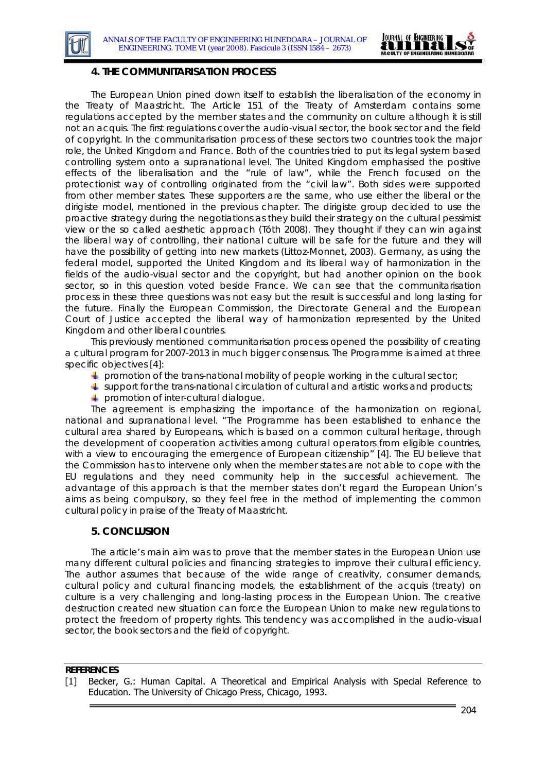



#### **4. THE COMMUNITARISATION PROCESS**

The European Union pined down itself to establish the liberalisation of the economy in the Treaty of Maastricht. The Article 151 of the Treaty of Amsterdam contains some regulations accepted by the member states and the community on culture although it is still not an acquis. The first regulations cover the audio-visual sector, the book sector and the field of copyright. In the communitarisation process of these sectors two countries took the major role, the United Kingdom and France. Both of the countries tried to put its legal system based controlling system onto a supranational level. The United Kingdom emphasised the positive effects of the liberalisation and the "rule of law", while the French focused on the protectionist way of controlling originated from the "civil law". Both sides were supported from other member states. These supporters are the same, who use either the liberal or the dirigiste model, mentioned in the previous chapter. The dirigiste group decided to use the proactive strategy during the negotiations as they build their strategy on the cultural pessimist view or the so called aesthetic approach (Tóth 2008). They thought if they can win against the liberal way of controlling, their national culture will be safe for the future and they will have the possibility of getting into new markets (Littoz-Monnet, 2003). Germany, as using the federal model, supported the United Kingdom and its liberal way of harmonization in the fields of the audio-visual sector and the copyright, but had another opinion on the book sector, so in this question voted beside France. We can see that the communitarisation process in these three questions was not easy but the result is successful and long lasting for the future. Finally the European Commission, the Directorate General and the European Court of Justice accepted the liberal way of harmonization represented by the United Kingdom and other liberal countries.

This previously mentioned communitarisation process opened the possibility of creating a cultural program for 2007-2013 in much bigger consensus. The Programme is aimed at three specific objectives [4]:

- $\blacktriangle$  promotion of the trans-national mobility of people working in the cultural sector;
- $\ddagger$  support for the trans-national circulation of cultural and artistic works and products;
- **promotion of inter-cultural dialogue.**

The agreement is emphasizing the importance of the harmonization on regional, national and supranational level. "The Programme has been established to enhance the cultural area shared by Europeans, which is based on a common cultural heritage, through the development of cooperation activities among cultural operators from eligible countries, with a view to encouraging the emergence of European citizenship" [4]. The EU believe that the Commission has to intervene only when the member states are not able to cope with the EU regulations and they need community help in the successful achievement. The advantage of this approach is that the member states don't regard the European Union's aims as being compulsory, so they feel free in the method of implementing the common cultural policy in praise of the Treaty of Maastricht.

## **5. CONCLUSION**

The article's main aim was to prove that the member states in the European Union use many different cultural policies and financing strategies to improve their cultural efficiency. The author assumes that because of the wide range of creativity, consumer demands, cultural policy and cultural financing models, the establishment of the acquis (*treaty*) on culture is a very challenging and long-lasting process in the European Union. The creative destruction created new situation can force the European Union to make new regulations to protect the freedom of property rights. This tendency was accomplished in the audio-visual sector, the book sectors and the field of copyright.

#### **REFERENCES**

[1] Becker, G.: Human Capital. A Theoretical and Empirical Analysis with Special Reference to Education. The University of Chicago Press, Chicago, 1993.